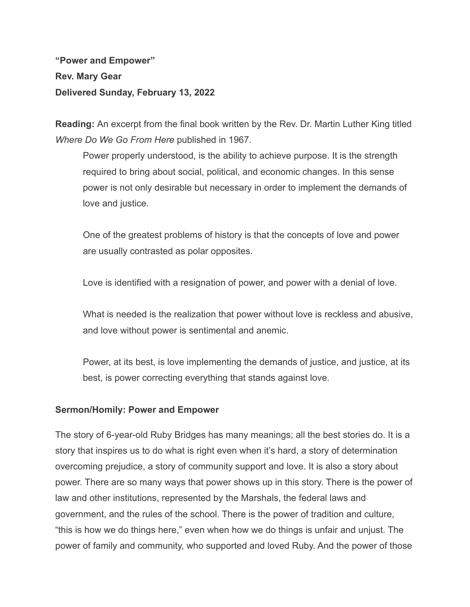**"Power and Empower" Rev. Mary Gear Delivered Sunday, February 13, 2022**

**Reading:** An excerpt from the final book written by the Rev. Dr. Martin Luther King titled *Where Do We Go From Here* published in 1967.

Power properly understood, is the ability to achieve purpose. It is the strength required to bring about social, political, and economic changes. In this sense power is not only desirable but necessary in order to implement the demands of love and justice.

One of the greatest problems of history is that the concepts of love and power are usually contrasted as polar opposites.

Love is identified with a resignation of power, and power with a denial of love.

What is needed is the realization that power without love is reckless and abusive, and love without power is sentimental and anemic.

Power, at its best, is love implementing the demands of justice, and justice, at its best, is power correcting everything that stands against love.

## **Sermon/Homily: Power and Empower**

The story of 6-year-old Ruby Bridges has many meanings; all the best stories do. It is a story that inspires us to do what is right even when it's hard, a story of determination overcoming prejudice, a story of community support and love. It is also a story about power. There are so many ways that power shows up in this story. There is the power of law and other institutions, represented by the Marshals, the federal laws and government, and the rules of the school. There is the power of tradition and culture, "this is how we do things here," even when how we do things is unfair and unjust. The power of family and community, who supported and loved Ruby. And the power of those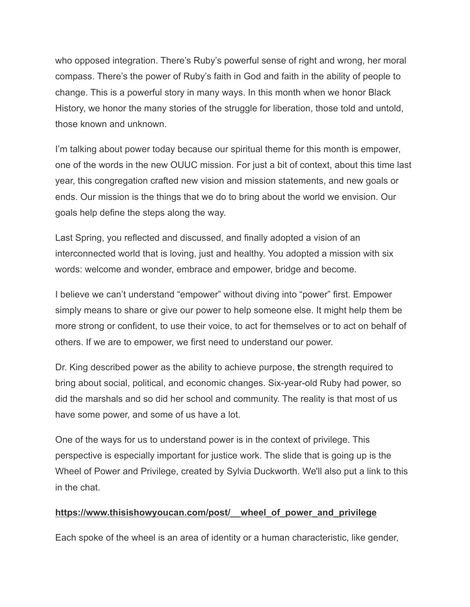who opposed integration. There's Ruby's powerful sense of right and wrong, her moral compass. There's the power of Ruby's faith in God and faith in the ability of people to change. This is a powerful story in many ways. In this month when we honor Black History, we honor the many stories of the struggle for liberation, those told and untold, those known and unknown.

I'm talking about power today because our spiritual theme for this month is empower, one of the words in the new OUUC mission. For just a bit of context, about this time last year, this congregation crafted new vision and mission statements, and new goals or ends. Our mission is the things that we do to bring about the world we envision. Our goals help define the steps along the way.

Last Spring, you reflected and discussed, and finally adopted a vision of an interconnected world that is loving, just and healthy. You adopted a mission with six words: welcome and wonder, embrace and empower, bridge and become.

I believe we can't understand "empower" without diving into "power" first. Empower simply means to share or give our power to help someone else. It might help them be more strong or confident, to use their voice, to act for themselves or to act on behalf of others. If we are to empower, we first need to understand our power.

Dr. King described power as the ability to achieve purpose, **t**he strength required to bring about social, political, and economic changes. Six-year-old Ruby had power, so did the marshals and so did her school and community. The reality is that most of us have some power, and some of us have a lot.

One of the ways for us to understand power is in the context of privilege. This perspective is especially important for justice work. The slide that is going up is the Wheel of Power and Privilege, created by Sylvia Duckworth. We'll also put a link to this in the chat.

## **[https://www.thisishowyoucan.com/post/\\_\\_wheel\\_of\\_power\\_and\\_privilege](https://www.thisishowyoucan.com/post/__wheel_of_power_and_privilege)**

Each spoke of the wheel is an area of identity or a human characteristic, like gender,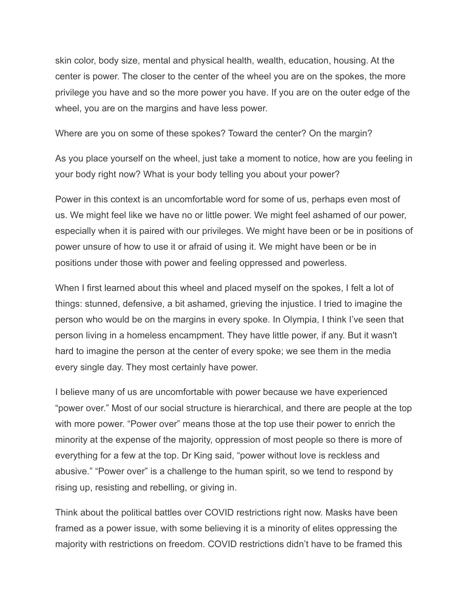skin color, body size, mental and physical health, wealth, education, housing. At the center is power. The closer to the center of the wheel you are on the spokes, the more privilege you have and so the more power you have. If you are on the outer edge of the wheel, you are on the margins and have less power.

Where are you on some of these spokes? Toward the center? On the margin?

As you place yourself on the wheel, just take a moment to notice, how are you feeling in your body right now? What is your body telling you about your power?

Power in this context is an uncomfortable word for some of us, perhaps even most of us. We might feel like we have no or little power. We might feel ashamed of our power, especially when it is paired with our privileges. We might have been or be in positions of power unsure of how to use it or afraid of using it. We might have been or be in positions under those with power and feeling oppressed and powerless.

When I first learned about this wheel and placed myself on the spokes, I felt a lot of things: stunned, defensive, a bit ashamed, grieving the injustice. I tried to imagine the person who would be on the margins in every spoke. In Olympia, I think I've seen that person living in a homeless encampment. They have little power, if any. But it wasn't hard to imagine the person at the center of every spoke; we see them in the media every single day. They most certainly have power.

I believe many of us are uncomfortable with power because we have experienced "power over." Most of our social structure is hierarchical, and there are people at the top with more power. "Power over" means those at the top use their power to enrich the minority at the expense of the majority, oppression of most people so there is more of everything for a few at the top. Dr King said, "power without love is reckless and abusive." "Power over" is a challenge to the human spirit, so we tend to respond by rising up, resisting and rebelling, or giving in.

Think about the political battles over COVID restrictions right now. Masks have been framed as a power issue, with some believing it is a minority of elites oppressing the majority with restrictions on freedom. COVID restrictions didn't have to be framed this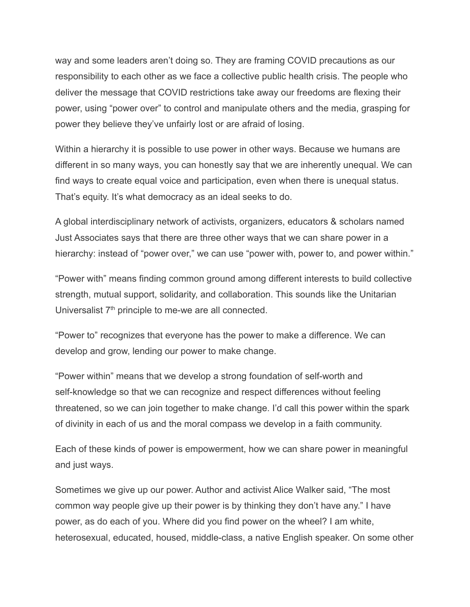way and some leaders aren't doing so. They are framing COVID precautions as our responsibility to each other as we face a collective public health crisis. The people who deliver the message that COVID restrictions take away our freedoms are flexing their power, using "power over" to control and manipulate others and the media, grasping for power they believe they've unfairly lost or are afraid of losing.

Within a hierarchy it is possible to use power in other ways. Because we humans are different in so many ways, you can honestly say that we are inherently unequal. We can find ways to create equal voice and participation, even when there is unequal status. That's equity. It's what democracy as an ideal seeks to do.

A global interdisciplinary network of activists, organizers, educators & scholars named Just Associates says that there are three other ways that we can share power in a hierarchy: instead of "power over," we can use "power with, power to, and power within."

"Power with" means finding common ground among different interests to build collective strength, mutual support, solidarity, and collaboration. This sounds like the Unitarian Universalist  $7<sup>th</sup>$  principle to me-we are all connected.

"Power to" recognizes that everyone has the power to make a difference. We can develop and grow, lending our power to make change.

"Power within" means that we develop a strong foundation of self-worth and self-knowledge so that we can recognize and respect differences without feeling threatened, so we can join together to make change. I'd call this power within the spark of divinity in each of us and the moral compass we develop in a faith community.

Each of these kinds of power is empowerment, how we can share power in meaningful and just ways.

Sometimes we give up our power. Author and activist Alice Walker said, "The most common way people give up their power is by thinking they don't have any." I have power, as do each of you. Where did you find power on the wheel? I am white, heterosexual, educated, housed, middle-class, a native English speaker. On some other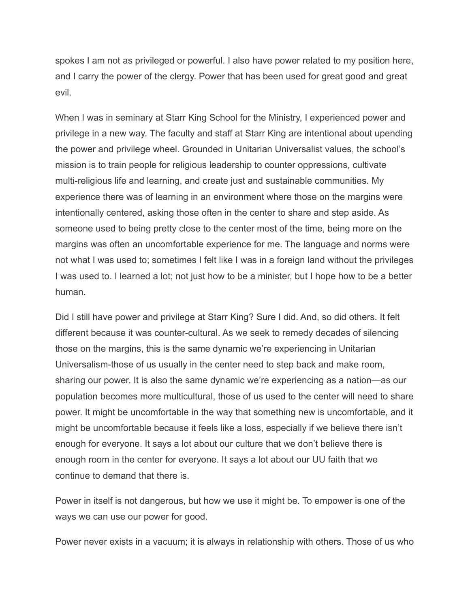spokes I am not as privileged or powerful. I also have power related to my position here, and I carry the power of the clergy. Power that has been used for great good and great evil.

When I was in seminary at Starr King School for the Ministry, I experienced power and privilege in a new way. The faculty and staff at Starr King are intentional about upending the power and privilege wheel. Grounded in Unitarian Universalist values, the school's mission is to train people for religious leadership to counter oppressions, cultivate multi-religious life and learning, and create just and sustainable communities. My experience there was of learning in an environment where those on the margins were intentionally centered, asking those often in the center to share and step aside. As someone used to being pretty close to the center most of the time, being more on the margins was often an uncomfortable experience for me. The language and norms were not what I was used to; sometimes I felt like I was in a foreign land without the privileges I was used to. I learned a lot; not just how to be a minister, but I hope how to be a better human.

Did I still have power and privilege at Starr King? Sure I did. And, so did others. It felt different because it was counter-cultural. As we seek to remedy decades of silencing those on the margins, this is the same dynamic we're experiencing in Unitarian Universalism-those of us usually in the center need to step back and make room, sharing our power. It is also the same dynamic we're experiencing as a nation—as our population becomes more multicultural, those of us used to the center will need to share power. It might be uncomfortable in the way that something new is uncomfortable, and it might be uncomfortable because it feels like a loss, especially if we believe there isn't enough for everyone. It says a lot about our culture that we don't believe there is enough room in the center for everyone. It says a lot about our UU faith that we continue to demand that there is.

Power in itself is not dangerous, but how we use it might be. To empower is one of the ways we can use our power for good.

Power never exists in a vacuum; it is always in relationship with others. Those of us who